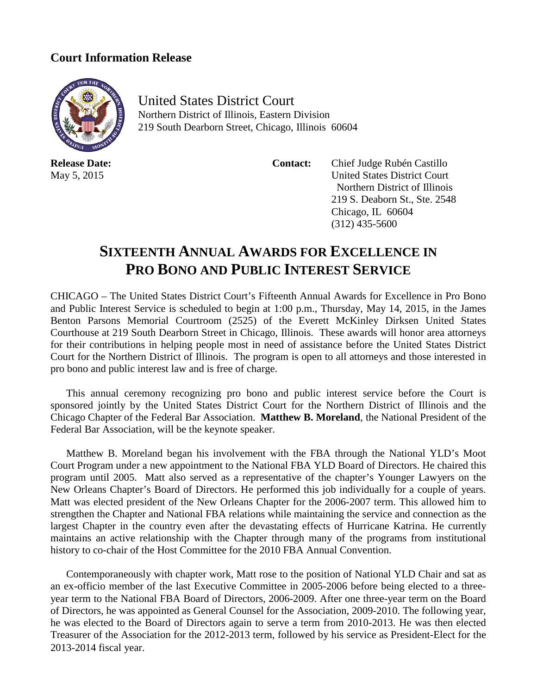## **Court Information Release**



**Release Date:** May 5, 2015

United States District Court Northern District of Illinois, Eastern Division 219 South Dearborn Street, Chicago, Illinois 60604

 **Contact:** Chief Judge Rubén Castillo United States District Court Northern District of Illinois 219 S. Deaborn St., Ste. 2548 Chicago, IL 60604 (312) 435-5600

## **SIXTEENTH ANNUAL AWARDS FOR EXCELLENCE IN PRO BONO AND PUBLIC INTEREST SERVICE**

CHICAGO – The United States District Court's Fifteenth Annual Awards for Excellence in Pro Bono and Public Interest Service is scheduled to begin at 1:00 p.m., Thursday, May 14, 2015, in the James Benton Parsons Memorial Courtroom (2525) of the Everett McKinley Dirksen United States Courthouse at 219 South Dearborn Street in Chicago, Illinois. These awards will honor area attorneys for their contributions in helping people most in need of assistance before the United States District Court for the Northern District of Illinois. The program is open to all attorneys and those interested in pro bono and public interest law and is free of charge.

This annual ceremony recognizing pro bono and public interest service before the Court is sponsored jointly by the United States District Court for the Northern District of Illinois and the Chicago Chapter of the Federal Bar Association. **Matthew B. Moreland**, the National President of the Federal Bar Association, will be the keynote speaker.

Matthew B. Moreland began his involvement with the FBA through the National YLD's Moot Court Program under a new appointment to the National FBA YLD Board of Directors. He chaired this program until 2005. Matt also served as a representative of the chapter's Younger Lawyers on the New Orleans Chapter's Board of Directors. He performed this job individually for a couple of years. Matt was elected president of the New Orleans Chapter for the 2006-2007 term. This allowed him to strengthen the Chapter and National FBA relations while maintaining the service and connection as the largest Chapter in the country even after the devastating effects of Hurricane Katrina. He currently maintains an active relationship with the Chapter through many of the programs from institutional history to co-chair of the Host Committee for the 2010 FBA Annual Convention.

Contemporaneously with chapter work, Matt rose to the position of National YLD Chair and sat as an ex-officio member of the last Executive Committee in 2005-2006 before being elected to a threeyear term to the National FBA Board of Directors, 2006-2009. After one three-year term on the Board of Directors, he was appointed as General Counsel for the Association, 2009-2010. The following year, he was elected to the Board of Directors again to serve a term from 2010-2013. He was then elected Treasurer of the Association for the 2012-2013 term, followed by his service as President-Elect for the 2013-2014 fiscal year.